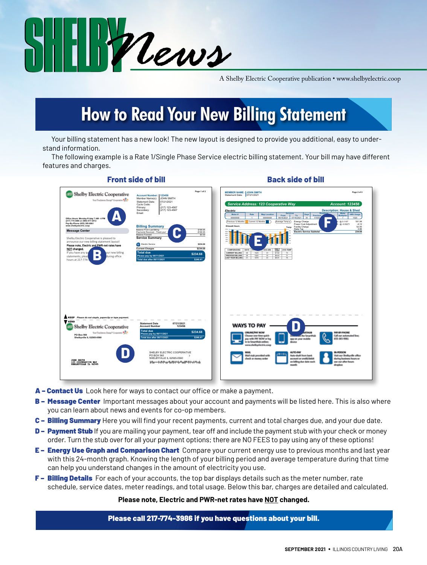

A Shelby Electric Cooperative publication • www.shelbyelectric.coop

### **How to Read Your New Billing Statement**

Your billing statement has a new look! The new layout is designed to provide you additional, easy to understand information.

The following example is a Rate 1/Single Phase Service electric billing statement. Your bill may have different features and charges.

| Shelby Electric Cooperative<br>Tour Toucheuns Energy" Cooperation SCP<br>Office Hours: Monday-Friday 7 AM - 4 PM<br>(217) 774-3986 or (800) 677-2612                                                                                                                                                                                                     | Page 1 of 2<br>Account Number: 123456<br><b>JOHN SMITH</b><br>Member Name(s):<br>Statement Date:<br>07/21/2021<br>Cycle Code:<br>Primary:<br>(217) 123-4567<br>(217) 123-4567<br>Secondary:<br>Email:                                                                                                                                                   | <b>MEMBER NAME: JOHN SMITH</b><br>Page 2 of 2<br>Statement Date: 07/21/2021<br>Service Address: 123 Cooperative Way<br><b>Account: 123456</b><br><b>Description: House &amp; Shed</b><br>Electric<br><b>Meter</b><br><b>Services</b><br>Read<br>kWh Usage<br>Meter #<br>Rate<br><b>Map Location</b><br>Days<br>To:<br>Previous<br>Multiplier<br><b>From</b><br>07/16/2021<br>30<br>Ŧ<br>1520<br>00000000<br>00000000<br>06/16/2021<br>$\overline{ }$<br>181.94<br>Energy Charge<br>@ 0.1197<br>Previous 12 Months<br>Current 12 Months<br>Average Temp . |
|----------------------------------------------------------------------------------------------------------------------------------------------------------------------------------------------------------------------------------------------------------------------------------------------------------------------------------------------------------|---------------------------------------------------------------------------------------------------------------------------------------------------------------------------------------------------------------------------------------------------------------------------------------------------------------------------------------------------------|----------------------------------------------------------------------------------------------------------------------------------------------------------------------------------------------------------------------------------------------------------------------------------------------------------------------------------------------------------------------------------------------------------------------------------------------------------------------------------------------------------------------------------------------------------|
| Pay-By-Phone (855) 385-9981<br>www.shelbyelectric.coop<br><b>Message Center</b><br>Shelby Electric Cooperative is pleased to<br>announce our new billing statement layout!<br>Please note, Electric and PWR-net rates have<br>NOT changed.<br>If you have any gu<br>our new billing<br>D<br>statements, pleas<br>during office<br>D<br>hours at 217-774- | <b>Billing Summary</b><br><b>Balance From Last Billing</b><br>\$198.95<br>Payments Received - Thank you!<br>\$198.95<br>Balance Forward<br>\$0.00<br><b>Service Summary</b><br>Electric Service<br>\$234.68<br>\$234.68<br><b>Current Charges</b><br><b>Total due</b><br>\$234.68<br>Please pay by 08/11/2021<br>\$246.41<br>Total due after 08/11/2021 | Power Cost Adiustment<br>$-4.12$<br>@-0.00271<br><b>Kilowatt Hours</b><br>52.00<br>Facility Charge<br>Temp<br>State Tax<br>4.86<br>1760<br><b>Electric Service Subtotal</b><br>234.68<br><b>SSN</b><br>1250<br>son<br>$\sim$<br>DAILY<br>COST<br><b>COMPARISONS</b><br>AVG TEMP<br>DAYS<br>AVG kWh<br><b>CURRENT BILLING</b><br>$\overline{73}$<br>$\overline{30}$<br>1520<br>51<br>\$7.82<br>PREVIOUS BILLING<br>30 <sub>2</sub><br>1225<br>41<br>\$6.63<br>71<br><b>LAST YEAR BILLING</b><br>76<br>31<br>1878<br>61<br>\$8.91                          |
| KEEP Please do not staple, paperclip or tape payment.<br><b>W</b> SEND<br><b>Shelby Electric Cooperative</b><br>Sur Tochnos Engy' Copens, \$22<br>PO Box 560<br>Shelbyville IL 62565-0560                                                                                                                                                                | <b>Statement Date</b><br>07/21/2021<br>123456<br><b>Account Number</b><br><b>Total due</b><br>\$234.68<br>Please pay by 08/11/2021<br>\$246.41<br>Total due after 08/11/2021                                                                                                                                                                            | <b>WAYS TO PAY</b><br><b><i>COULINE/THAT MICHAY</i></b><br><b>WASH PHONE</b><br>Choose one-time quick<br>the Smartikal<br>Call our automated line:<br>pay with PAY NOW or log<br>855-385-9981<br>g-on your mobile                                                                                                                                                                                                                                                                                                                                        |
| <b>JOHN SMITH<br/>123 COOPERATIVE NAY<br/>SHELBYVILLE IL 62565</b>                                                                                                                                                                                                                                                                                       | SHELBY ELECTRIC COOPERATIVE<br>PO BOX 560<br>SHELBYVILLE IL 62565-0560<br><u>հԱրտախվերությունների հայկակների հերի</u>                                                                                                                                                                                                                                   | in to SmartHub online:<br>www.shelburlectric.com<br><b>MAR</b><br><b>ALITICS BULK</b><br><b>N-PERSON</b><br>Mail stub provided with<br>Auto-draft from bank<br>thit our Shelbyville office<br>check or money order<br>account or credit/debit<br>during business hours or<br>use our after hours<br>on billing due date each<br>month<br>drasbox                                                                                                                                                                                                         |

**Front side of bill Back side of bill**

- A Contact Us Look here for ways to contact our office or make a payment.
- B Message Center Important messages about your account and payments will be listed here. This is also where you can learn about news and events for co-op members.
- C Billing Summary Here you will find your recent payments, current and total charges due, and your due date.
- **D Payment Stub** If you are mailing your payment, tear off and include the payment stub with your check or money order. Turn the stub over for all your payment options; there are NO FEES to pay using any of these options!
- E Energy Use Graph and Comparison Chart Compare your current energy use to previous months and last year with this 24-month graph. Knowing the length of your billing period and average temperature during that time can help you understand changes in the amount of electricity you use.
- F Billing Details For each of your accounts, the top bar displays details such as the meter number, rate schedule, service dates, meter readings, and total usage. Below this bar, charges are detailed and calculated.

### **Please note, Electric and PWR-net rates have NOT changed.**

Please call 217-774-3986 if you have questions about your bill.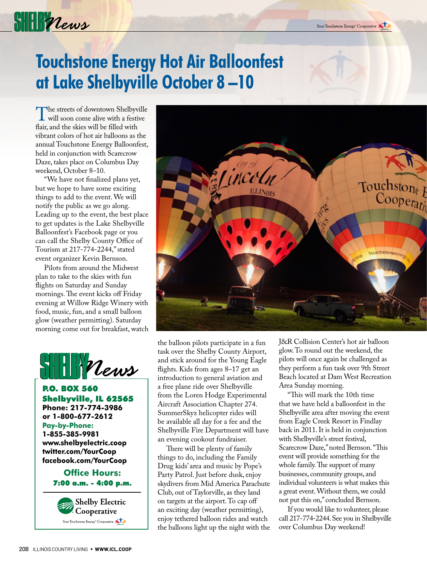

### **Touchstone Energy Hot Air Balloonfest at Lake Shelbyville October 8 –10**

The streets of downtown Shelbyville will soon come alive with a festive flair, and the skies will be filled with vibrant colors of hot air balloons as the annual Touchstone Energy Balloonfest, held in conjunction with Scarecrow Daze, takes place on Columbus Day weekend, October 8–10.

"We have not finalized plans yet, but we hope to have some exciting things to add to the event. We will notify the public as we go along. Leading up to the event, the best place to get updates is the Lake Shelbyville Balloonfest's Facebook page or you can call the Shelby County Office of Tourism at 217-774-2244," stated event organizer Kevin Bernson.

Pilots from around the Midwest plan to take to the skies with fun flights on Saturday and Sunday mornings. The event kicks off Friday evening at Willow Ridge Winery with food, music, fun, and a small balloon glow (weather permitting). Saturday morning come out for breakfast, watch



P.O. BOX 560 Shelbyville, IL 62565 **Phone: 217-774-3986 or 1-800-677-2612 Pay-by-Phone: 1-855-385-9981 www.shelbyelectric.coop twitter.com/YourCoop facebook.com/YourCoop**

### **Office Hours:** 7:00 a.m. - 4:00 p.m.





the balloon pilots participate in a fun task over the Shelby County Airport, and stick around for the Young Eagle flights. Kids from ages 8–17 get an introduction to general aviation and a free plane ride over Shelbyville from the Loren Hodge Experimental Aircraft Association Chapter 274. SummerSkyz helicopter rides will be available all day for a fee and the Shelbyville Fire Department will have an evening cookout fundraiser.

There will be plenty of family things to do, including the Family Drug kids' area and music by Pope's Party Patrol. Just before dusk, enjoy skydivers from Mid America Parachute Club, out of Taylorville, as they land on targets at the airport. To cap off an exciting day (weather permitting), enjoy tethered balloon rides and watch the balloons light up the night with the J&R Collision Center's hot air balloon glow. To round out the weekend, the pilots will once again be challenged as they perform a fun task over 9th Street Beach located at Dam West Recreation Area Sunday morning.

"This will mark the 10th time that we have held a balloonfest in the Shelbyville area after moving the event from Eagle Creek Resort in Findlay back in 2011. It is held in conjunction with Shelbyville's street festival, Scarecrow Daze," noted Bernson. "This event will provide something for the whole family. The support of many businesses, community groups, and individual volunteers is what makes this a great event. Without them, we could not put this on," concluded Bernson.

If you would like to volunteer, please call 217-774-2244. See you in Shelbyville over Columbus Day weekend!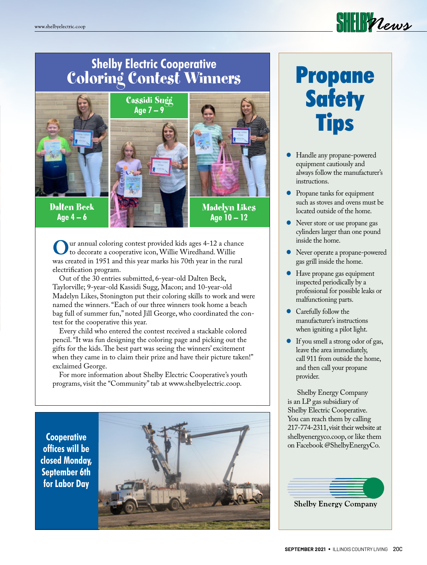

### **Shelby Electric Cooperative** Coloring Contest Winners



Dalten Beck **Age 4 – 6** 





**Age 10 – 12** 

Uur annual coloring contest provided kids ages 4-12 a chance<br>to decorate a cooperative icon, Willie Wiredhand. Willie<br>was created in 1951 and this year marks his 70th year in the rural was created in 1951 and this year marks his 70th year in the rural electrification program.

 Out of the 30 entries submitted, 6-year-old Dalten Beck, Taylorville; 9-year-old Kassidi Sugg, Macon; and 10-year-old Madelyn Likes, Stonington put their coloring skills to work and were named the winners. "Each of our three winners took home a beach bag full of summer fun," noted Jill George, who coordinated the contest for the cooperative this year.

 Every child who entered the contest received a stackable colored pencil. "It was fun designing the coloring page and picking out the gifts for the kids. The best part was seeing the winners' excitement when they came in to claim their prize and have their picture taken!" exclaimed George.

 For more information about Shelby Electric Cooperative's youth programs, visit the "Community" tab at www.shelbyelectric.coop.

**Cooperative offices will be closed Monday, September 6th for Labor Day**



# Propane **Safety Tips**

- Handle any propane-powered equipment cautiously and always follow the manufacturer's instructions.
- Propane tanks for equipment such as stoves and ovens must be located outside of the home.
- Never store or use propane gas cylinders larger than one pound inside the home.
- Never operate a propane-powered gas grill inside the home.
- Have propane gas equipment inspected periodically by a professional for possible leaks or malfunctioning parts.
- Carefully follow the manufacturer's instructions when igniting a pilot light.
- If you smell a strong odor of gas, leave the area immediately, call 911 from outside the home, and then call your propane provider.

Shelby Energy Company is an LP gas subsidiary of Shelby Electric Cooperative. You can reach them by calling 217-774-2311, visit their website at shelbyenergyco.coop, or like them on Facebook @ShelbyEnergyCo.



**Shelby Energy Company**